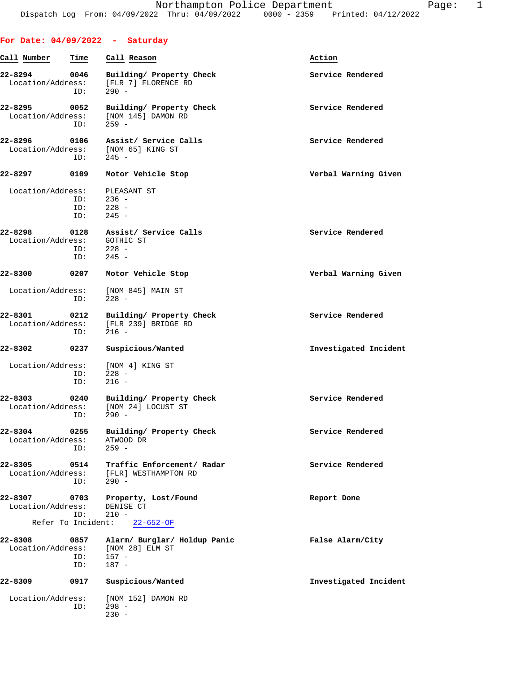| For Date: $04/09/2022 - Saturday$      |                    |                                                                              |                       |
|----------------------------------------|--------------------|------------------------------------------------------------------------------|-----------------------|
| Call Number                            | Time               | Call Reason                                                                  | Action                |
| 22-8294<br>Location/Address:           | 0046<br>ID:        | Building/ Property Check<br>[FLR 7] FLORENCE RD<br>$290 -$                   | Service Rendered      |
| 22-8295 0052<br>Location/Address:      | ID:                | Building/ Property Check<br>[NOM 145] DAMON RD<br>$259 -$                    | Service Rendered      |
| 22-8296                                | 0106<br>ID:        | Assist/ Service Calls<br>Location/Address: [NOM 65] KING ST<br>$245 -$       | Service Rendered      |
| 22-8297                                | 0109               | Motor Vehicle Stop                                                           | Verbal Warning Given  |
| Location/Address:                      | ID:<br>ID:<br>ID:  | PLEASANT ST<br>$236 -$<br>$228 -$<br>$245 -$                                 |                       |
| 22-8298<br>Location/Address: GOTHIC ST | $ID: 228 -$<br>ID: | 0128 Assist/ Service Calls<br>$245 -$                                        | Service Rendered      |
| 22-8300                                | 0207               | Motor Vehicle Stop                                                           | Verbal Warning Given  |
|                                        | ID:                | Location/Address: [NOM 845] MAIN ST<br>$228 -$                               |                       |
| 22-8301                                | 0212<br>ID:        | Building/ Property Check<br>Location/Address: [FLR 239] BRIDGE RD<br>$216 -$ | Service Rendered      |
| 22-8302                                | 0237               | Suspicious/Wanted                                                            | Investigated Incident |
| Location/Address:                      | ID:<br>ID:         | [NOM 4] KING ST<br>$228 -$<br>$216 -$                                        |                       |
| 22-8303<br>Location/Address:           | 0240               | Building/ Property Check<br>[NOM 24] LOCUST ST<br>$ID: 290 -$                | Service Rendered      |
| 22-8304<br>Location/Address:           | 0255<br>ID:        | Building/ Property Check<br>ATWOOD DR<br>$259 -$                             | Service Rendered      |
| 22-8305<br>Location/Address:           | 0514<br>ID:        | Traffic Enforcement/ Radar<br>[FLR] WESTHAMPTON RD<br>$290 -$                | Service Rendered      |
| 22-8307 0703<br>Location/Address:      | ID:                | Property, Lost/Found<br>DENISE CT<br>$210 -$<br>Refer To Incident: 22-652-OF | Report Done           |
| 22-8308<br>0857                        |                    | Alarm/ Burglar/ Holdup Panic                                                 | False Alarm/City      |
| Location/Address:                      | ID:<br>ID:         | [NOM 28] ELM ST<br>$157 -$<br>$187 -$                                        |                       |
| 22-8309                                | 0917               | Suspicious/Wanted                                                            | Investigated Incident |
| Location/Address:                      | ID:                | [NOM 152] DAMON RD<br>$298 -$<br>$230 -$                                     |                       |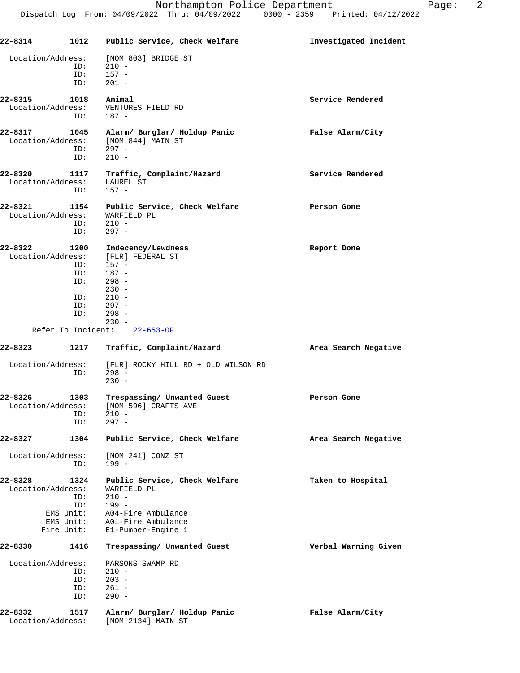| 22-8314           |            | 1012 Public Service, Check Welfare      | Investigated Incident |
|-------------------|------------|-----------------------------------------|-----------------------|
| Location/Address: |            | [NOM 803] BRIDGE ST                     |                       |
|                   | ID:        | $210 -$                                 |                       |
|                   | ID:        | $157 -$                                 |                       |
|                   | ID:        | $201 -$                                 |                       |
|                   |            |                                         |                       |
| 22-8315           | 1018       | Animal                                  | Service Rendered      |
| Location/Address: |            | VENTURES FIELD RD                       |                       |
|                   | ID:        | 187 -                                   |                       |
| 22-8317           | 1045       | Alarm/ Burglar/ Holdup Panic            | False Alarm/City      |
|                   |            | Location/Address: [NOM 844] MAIN ST     |                       |
|                   | ID:        | $297 -$                                 |                       |
|                   | ID:        | $210 -$                                 |                       |
| 22-8320           | 1117       | Traffic, Complaint/Hazard               | Service Rendered      |
| Location/Address: |            | LAUREL ST                               |                       |
|                   | ID:        | $157 -$                                 |                       |
|                   |            |                                         |                       |
| 22-8321           | 1154       | Public Service, Check Welfare           | Person Gone           |
| Location/Address: |            | WARFIELD PL                             |                       |
|                   | ID:        | $210 -$                                 |                       |
|                   | ID:        | $297 -$                                 |                       |
| 22-8322           | 1200       | Indecency/Lewdness                      | Report Done           |
| Location/Address: |            | [FLR] FEDERAL ST                        |                       |
|                   | ID:        | $157 -$                                 |                       |
|                   | ID:        | 187 -                                   |                       |
|                   | ID:        | $298 -$                                 |                       |
|                   |            | $230 -$                                 |                       |
|                   | ID:        | $210 -$                                 |                       |
|                   | ID:        | 297 -                                   |                       |
|                   | ID:        | $298 -$                                 |                       |
|                   |            | $230 -$<br>Refer To Incident: 22-653-OF |                       |
|                   |            |                                         |                       |
| 22-8323           | 1217       | Traffic, Complaint/Hazard               | Area Search Negative  |
| Location/Address: |            | [FLR] ROCKY HILL RD + OLD WILSON RD     |                       |
|                   | ID:        | $298 -$                                 |                       |
|                   |            | $230 -$                                 |                       |
| 22-8326           | 1303       | Trespassing/ Unwanted Guest             | Person Gone           |
| Location/Address: |            | [NOM 596] CRAFTS AVE                    |                       |
|                   | ID:        | $210 -$                                 |                       |
|                   | ID:        | $297 -$                                 |                       |
|                   |            |                                         |                       |
| 22-8327           | 1304       | Public Service, Check Welfare           | Area Search Negative  |
| Location/Address: |            | [NOM 241] CONZ ST                       |                       |
|                   | ID:        | $199 -$                                 |                       |
|                   |            |                                         |                       |
| 22-8328           | 1324       | Public Service, Check Welfare           | Taken to Hospital     |
| Location/Address: | ID:        | WARFIELD PL<br>$210 -$                  |                       |
|                   | ID:        | $199 -$                                 |                       |
|                   | EMS Unit:  | A04-Fire Ambulance                      |                       |
|                   | EMS Unit:  | A01-Fire Ambulance                      |                       |
|                   | Fire Unit: | El-Pumper-Engine 1                      |                       |
| 22-8330           | 1416       | Trespassing/ Unwanted Guest             | Verbal Warning Given  |
|                   |            |                                         |                       |
| Location/Address: |            | PARSONS SWAMP RD                        |                       |
|                   | ID:<br>ID: | $210 -$<br>$203 -$                      |                       |
|                   | ID:        | $261 -$                                 |                       |
|                   | ID:        | $290 -$                                 |                       |
|                   |            |                                         |                       |
| 22-8332           | 1517       | Alarm/ Burglar/ Holdup Panic            | False Alarm/City      |
| Location/Address: |            | [NOM 2134] MAIN ST                      |                       |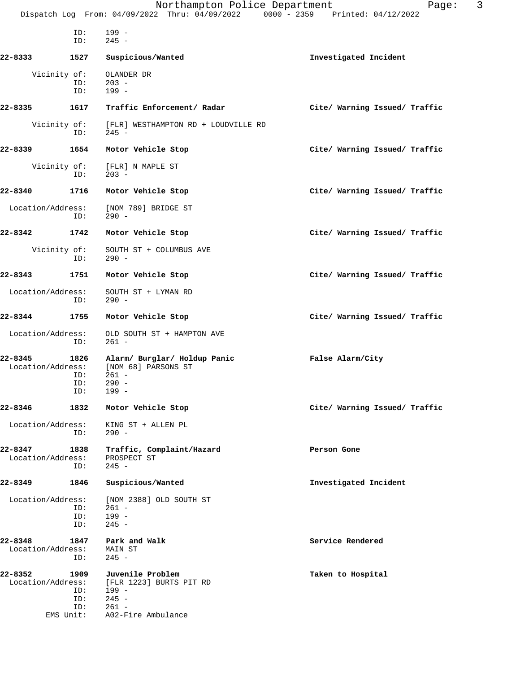| ID:<br>ID:                                                             | $199 -$<br>$245 -$                                                                               |                               |
|------------------------------------------------------------------------|--------------------------------------------------------------------------------------------------|-------------------------------|
| $22 - 8333$<br>1527                                                    | Suspicious/Wanted                                                                                | Investigated Incident         |
| Vicinity of:<br>ID:<br>ID:                                             | OLANDER DR<br>$203 -$<br>$199 -$                                                                 |                               |
| 22-8335<br>1617                                                        | Traffic Enforcement/ Radar                                                                       | Cite/ Warning Issued/ Traffic |
| Vicinity of:<br>ID:                                                    | [FLR] WESTHAMPTON RD + LOUDVILLE RD<br>$245 -$                                                   |                               |
| 22-8339<br>1654                                                        | Motor Vehicle Stop                                                                               | Cite/ Warning Issued/ Traffic |
| Vicinity of:<br>ID:                                                    | [FLR] N MAPLE ST<br>$203 -$                                                                      |                               |
| 22-8340<br>1716                                                        | Motor Vehicle Stop                                                                               | Cite/ Warning Issued/ Traffic |
| Location/Address:<br>ID:                                               | [NOM 789] BRIDGE ST<br>$290 -$                                                                   |                               |
| 22-8342<br>1742                                                        | Motor Vehicle Stop                                                                               | Cite/ Warning Issued/ Traffic |
| Vicinity of:<br>ID:                                                    | SOUTH ST + COLUMBUS AVE<br>$290 -$                                                               |                               |
| $22 - 8343$<br>1751                                                    | Motor Vehicle Stop                                                                               | Cite/ Warning Issued/ Traffic |
| Location/Address:<br>ID:                                               | SOUTH ST + LYMAN RD<br>$290 -$                                                                   |                               |
| 22-8344<br>1755                                                        | Motor Vehicle Stop                                                                               | Cite/ Warning Issued/ Traffic |
| Location/Address:<br>ID:                                               | OLD SOUTH ST + HAMPTON AVE<br>$261 -$                                                            |                               |
| 22-8345<br>1826<br>Location/Address:<br>ID:<br>ID:<br>ID:              | Alarm/ Burglar/ Holdup Panic<br>[NOM 68] PARSONS ST<br>$261 -$<br>$290 -$<br>$199 -$             | False Alarm/City              |
| 22-8346<br>1832                                                        | Motor Vehicle Stop                                                                               | Cite/ Warning Issued/ Traffic |
| Location/Address:<br>ID:                                               | KING ST + ALLEN PL<br>$290 -$                                                                    |                               |
| 22-8347<br>1838<br>Location/Address:<br>ID:                            | Traffic, Complaint/Hazard<br>PROSPECT ST<br>$245 -$                                              | Person Gone                   |
| 22-8349<br>1846                                                        | Suspicious/Wanted                                                                                | Investigated Incident         |
| Location/Address:<br>ID:<br>ID:<br>ID:                                 | [NOM 2388] OLD SOUTH ST<br>$261 -$<br>$199 -$<br>$245 -$                                         |                               |
| 22-8348<br>1847<br>Location/Address:<br>ID:                            | Park and Walk<br>MAIN ST<br>$245 -$                                                              | Service Rendered              |
| 22-8352<br>1909<br>Location/Address:<br>ID:<br>ID:<br>ID:<br>EMS Unit: | Juvenile Problem<br>[FLR 1223] BURTS PIT RD<br>199 -<br>$245 -$<br>$261 -$<br>A02-Fire Ambulance | Taken to Hospital             |